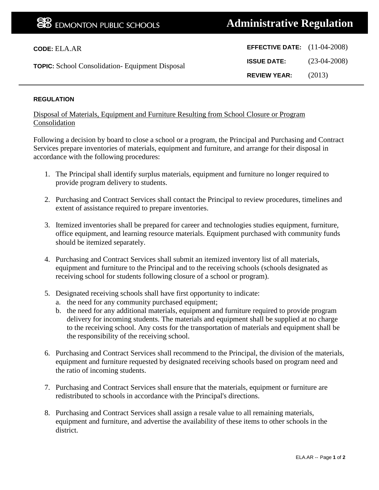| <b>CODE: ELA.AR</b>                                    | <b>EFFECTIVE DATE:</b> $(11-04-2008)$ |                |
|--------------------------------------------------------|---------------------------------------|----------------|
| <b>TOPIC:</b> School Consolidation- Equipment Disposal | <b>ISSUE DATE:</b>                    | $(23-04-2008)$ |
|                                                        | <b>REVIEW YEAR:</b>                   | (2013)         |

## **REGULATION**

Disposal of Materials, Equipment and Furniture Resulting from School Closure or Program Consolidation

Following a decision by board to close a school or a program, the Principal and Purchasing and Contract Services prepare inventories of materials, equipment and furniture, and arrange for their disposal in accordance with the following procedures:

- 1. The Principal shall identify surplus materials, equipment and furniture no longer required to provide program delivery to students.
- 2. Purchasing and Contract Services shall contact the Principal to review procedures, timelines and extent of assistance required to prepare inventories.
- 3. Itemized inventories shall be prepared for career and technologies studies equipment, furniture, office equipment, and learning resource materials. Equipment purchased with community funds should be itemized separately.
- 4. Purchasing and Contract Services shall submit an itemized inventory list of all materials, equipment and furniture to the Principal and to the receiving schools (schools designated as receiving school for students following closure of a school or program).
- 5. Designated receiving schools shall have first opportunity to indicate:
	- a. the need for any community purchased equipment;
	- b. the need for any additional materials, equipment and furniture required to provide program delivery for incoming students. The materials and equipment shall be supplied at no charge to the receiving school. Any costs for the transportation of materials and equipment shall be the responsibility of the receiving school.
- 6. Purchasing and Contract Services shall recommend to the Principal, the division of the materials, equipment and furniture requested by designated receiving schools based on program need and the ratio of incoming students.
- 7. Purchasing and Contract Services shall ensure that the materials, equipment or furniture are redistributed to schools in accordance with the Principal's directions.
- 8. Purchasing and Contract Services shall assign a resale value to all remaining materials, equipment and furniture, and advertise the availability of these items to other schools in the district.